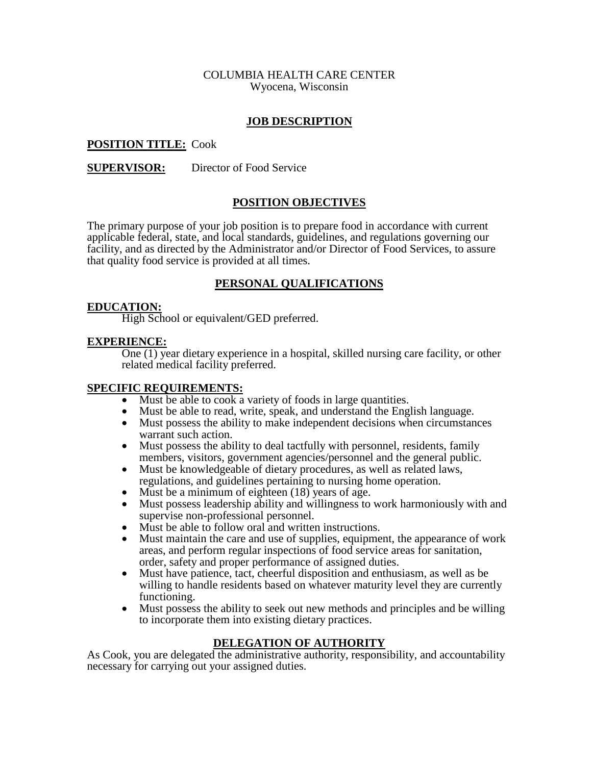#### COLUMBIA HEALTH CARE CENTER Wyocena, Wisconsin

### **JOB DESCRIPTION**

### **POSITION TITLE:** Cook

#### **SUPERVISOR:** Director of Food Service

### **POSITION OBJECTIVES**

The primary purpose of your job position is to prepare food in accordance with current applicable federal, state, and local standards, guidelines, and regulations governing our facility, and as directed by the Administrator and/or Director of Food Services, to assure that quality food service is provided at all times.

### **PERSONAL QUALIFICATIONS**

#### **EDUCATION:**

High School or equivalent/GED preferred.

#### **EXPERIENCE:**

One (1) year dietary experience in a hospital, skilled nursing care facility, or other related medical facility preferred.

#### **SPECIFIC REQUIREMENTS:**

- Must be able to cook a variety of foods in large quantities.<br>• Must be able to read. write. speak. and understand the Eng
- Must be able to read, write, speak, and understand the English language.<br>• Must possess the ability to make independent decisions when circumstan
- Must possess the ability to make independent decisions when circumstances warrant such action.
- Must possess the ability to deal tactfully with personnel, residents, family members, visitors, government agencies/personnel and the general public.
- Must be knowledgeable of dietary procedures, as well as related laws, regulations, and guidelines pertaining to nursing home operation.
- Must be a minimum of eighteen (18) years of age.<br>• Must possess leadership ability and willingness to
- Must possess leadership ability and willingness to work harmoniously with and supervise non-professional personnel.
- Must be able to follow oral and written instructions.
- Must maintain the care and use of supplies, equipment, the appearance of work areas, and perform regular inspections of food service areas for sanitation, order, safety and proper performance of assigned duties.
- Must have patience, tact, cheerful disposition and enthusiasm, as well as be willing to handle residents based on whatever maturity level they are currently functioning.
- Must possess the ability to seek out new methods and principles and be willing to incorporate them into existing dietary practices.

#### **DELEGATION OF AUTHORITY**

As Cook, you are delegated the administrative authority, responsibility, and accountability necessary for carrying out your assigned duties.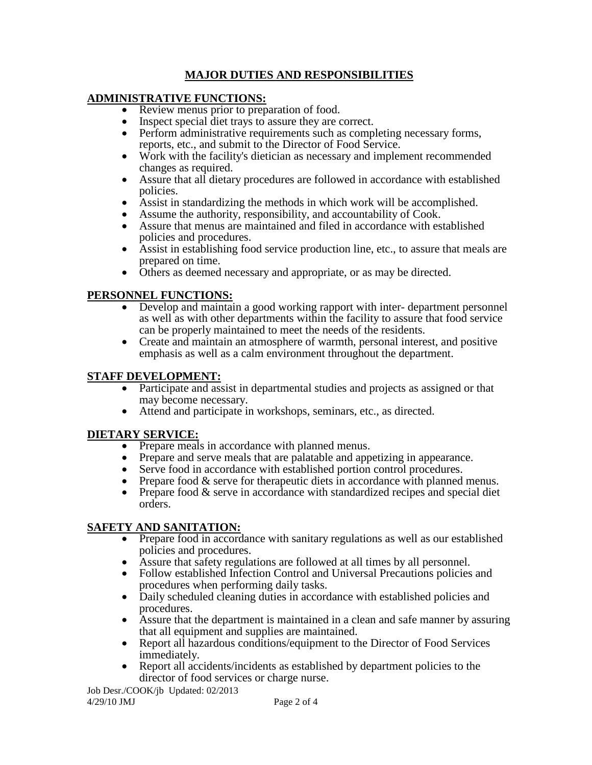# **MAJOR DUTIES AND RESPONSIBILITIES**

## **ADMINISTRATIVE FUNCTIONS:**

- Review menus prior to preparation of food.
- Inspect special diet trays to assure they are correct.
- Perform administrative requirements such as completing necessary forms, reports, etc., and submit to the Director of Food Service.
- Work with the facility's dietician as necessary and implement recommended changes as required.
- Assure that all dietary procedures are followed in accordance with established policies.
- Assist in standardizing the methods in which work will be accomplished.
- Assume the authority, responsibility, and accountability of Cook.
- Assure that menus are maintained and filed in accordance with established policies and procedures.
- Assist in establishing food service production line, etc., to assure that meals are prepared on time.
- Others as deemed necessary and appropriate, or as may be directed.

# **PERSONNEL FUNCTIONS:**

- Develop and maintain a good working rapport with inter- department personnel as well as with other departments within the facility to assure that food service can be properly maintained to meet the needs of the residents.
- Create and maintain an atmosphere of warmth, personal interest, and positive emphasis as well as a calm environment throughout the department.

## **STAFF DEVELOPMENT:**

- Participate and assist in departmental studies and projects as assigned or that may become necessary.
- Attend and participate in workshops, seminars, etc., as directed.

## **DIETARY SERVICE:**

- Prepare meals in accordance with planned menus.
- Prepare and serve meals that are palatable and appetizing in appearance.
- Serve food in accordance with established portion control procedures.
- Prepare food  $&$  serve for the appendicularized in accordance with planned menus.
- Prepare food & serve in accordance with standardized recipes and special diet orders.

## **SAFETY AND SANITATION:**

- Prepare food in accordance with sanitary regulations as well as our established policies and procedures.
- Assure that safety regulations are followed at all times by all personnel.<br>• Follow established Infection Control and Universal Precautions policies
- Follow established Infection Control and Universal Precautions policies and procedures when performing daily tasks.
- Daily scheduled cleaning duties in accordance with established policies and procedures.
- Assure that the department is maintained in a clean and safe manner by assuring that all equipment and supplies are maintained.
- Report all hazardous conditions/equipment to the Director of Food Services immediately.
- Report all accidents/incidents as established by department policies to the director of food services or charge nurse.

Job Desr./COOK/jb Updated: 02/2013 4/29/10 JMJ Page 2 of 4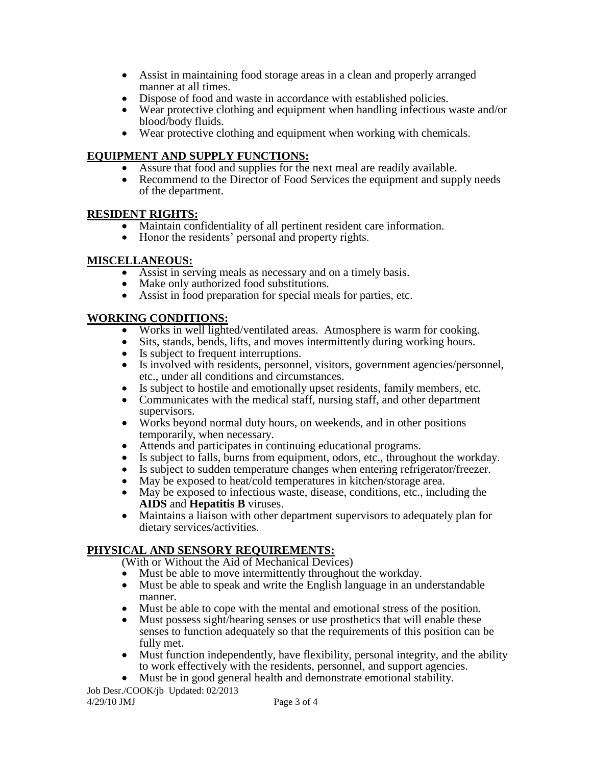- Assist in maintaining food storage areas in a clean and properly arranged manner at all times.
- Dispose of food and waste in accordance with established policies.
- Wear protective clothing and equipment when handling infectious waste and/or blood/body fluids.
- Wear protective clothing and equipment when working with chemicals.

# **EQUIPMENT AND SUPPLY FUNCTIONS:**

- Assure that food and supplies for the next meal are readily available.<br>• Recommend to the Director of Food Services the equinment and supply
- Recommend to the Director of Food Services the equipment and supply needs of the department.

## **RESIDENT RIGHTS:**

- Maintain confidentiality of all pertinent resident care information.
- Honor the residents' personal and property rights.

## **MISCELLANEOUS:**

- Assist in serving meals as necessary and on a timely basis.
- Make only authorized food substitutions.
- Assist in food preparation for special meals for parties, etc.

# **WORKING CONDITIONS:**

- Works in well lighted/ventilated areas. Atmosphere is warm for cooking.<br>• Sits, stands, bends, lifts, and moves intermittently during working hours.
- Sits, stands, bends, lifts, and moves intermittently during working hours.
- Is subject to frequent interruptions.
- Is involved with residents, personnel, visitors, government agencies/personnel, etc., under all conditions and circumstances.
- Is subject to hostile and emotionally upset residents, family members, etc.
- Communicates with the medical staff, nursing staff, and other department supervisors.
- Works beyond normal duty hours, on weekends, and in other positions temporarily, when necessary.
- Attends and participates in continuing educational programs.<br>• Is subject to falls, burns from equipment, odors, etc., through
- Is subject to falls, burns from equipment, odors, etc., throughout the workday.
- Is subject to sudden temperature changes when entering refrigerator/freezer.
- May be exposed to heat/cold temperatures in kitchen/storage area.
- May be exposed to infectious waste, disease, conditions, etc., including the **AIDS** and **Hepatitis B** viruses.
- Maintains a liaison with other department supervisors to adequately plan for dietary services/activities.

# **PHYSICAL AND SENSORY REQUIREMENTS:**

(With or Without the Aid of Mechanical Devices)

- Must be able to move intermittently throughout the workday.<br>• Must be able to speak and write the English language in an un
- Must be able to speak and write the English language in an understandable manner.
- Must be able to cope with the mental and emotional stress of the position.
- Must possess sight/hearing senses or use prosthetics that will enable these senses to function adequately so that the requirements of this position can be fully met.
- Must function independently, have flexibility, personal integrity, and the ability to work effectively with the residents, personnel, and support agencies.
- Must be in good general health and demonstrate emotional stability.

Job Desr./COOK/jb Updated: 02/2013 4/29/10 JMJ Page 3 of 4